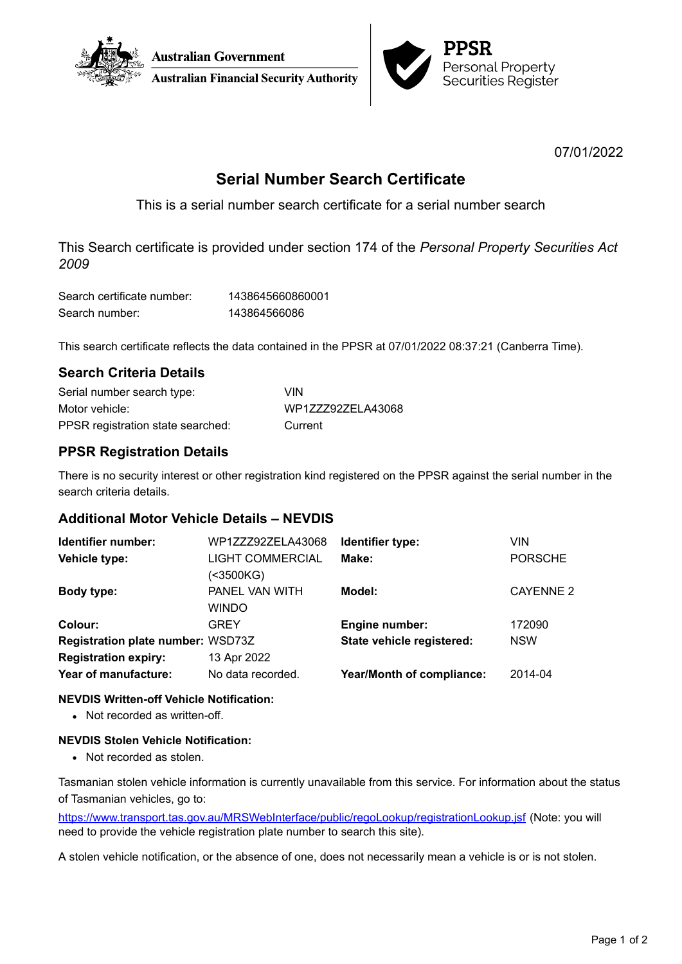



07/01/2022

# **Serial Number Search Certificate**

This is a serial number search certificate for a serial number search

This Search certificate is provided under section 174 of the *Personal Property Securities Act 2009*

| Search certificate number: | 1438645660860001 |
|----------------------------|------------------|
| Search number:             | 143864566086     |

This search certificate reflects the data contained in the PPSR at 07/01/2022 08:37:21 (Canberra Time).

# **Search Criteria Details**

| Serial number search type:        | VIN               |
|-----------------------------------|-------------------|
| Motor vehicle:                    | WP1ZZZ92ZELA43068 |
| PPSR registration state searched: | Current           |

# **PPSR Registration Details**

There is no security interest or other registration kind registered on the PPSR against the serial number in the search criteria details.

# **Additional Motor Vehicle Details – NEVDIS**

| Identifier number:                       | WP1ZZZ92ZELA43068                    | Identifier type:                 | <b>VIN</b>       |
|------------------------------------------|--------------------------------------|----------------------------------|------------------|
| Vehicle type:                            | <b>LIGHT COMMERCIAL</b><br>(<3500KG) | Make:                            | <b>PORSCHE</b>   |
| Body type:                               | PANEL VAN WITH<br><b>WINDO</b>       | Model:                           | <b>CAYENNE 2</b> |
| Colour:                                  | <b>GREY</b>                          | <b>Engine number:</b>            | 172090           |
| <b>Registration plate number: WSD73Z</b> |                                      | State vehicle registered:        | <b>NSW</b>       |
| <b>Registration expiry:</b>              | 13 Apr 2022                          |                                  |                  |
| Year of manufacture:                     | No data recorded.                    | <b>Year/Month of compliance:</b> | 2014-04          |

### **NEVDIS Written-off Vehicle Notification:**

• Not recorded as written-off.

### **NEVDIS Stolen Vehicle Notification:**

• Not recorded as stolen.

Tasmanian stolen vehicle information is currently unavailable from this service. For information about the status of Tasmanian vehicles, go to:

<https://www.transport.tas.gov.au/MRSWebInterface/public/regoLookup/registrationLookup.jsf> (Note: you will need to provide the vehicle registration plate number to search this site).

A stolen vehicle notification, or the absence of one, does not necessarily mean a vehicle is or is not stolen.